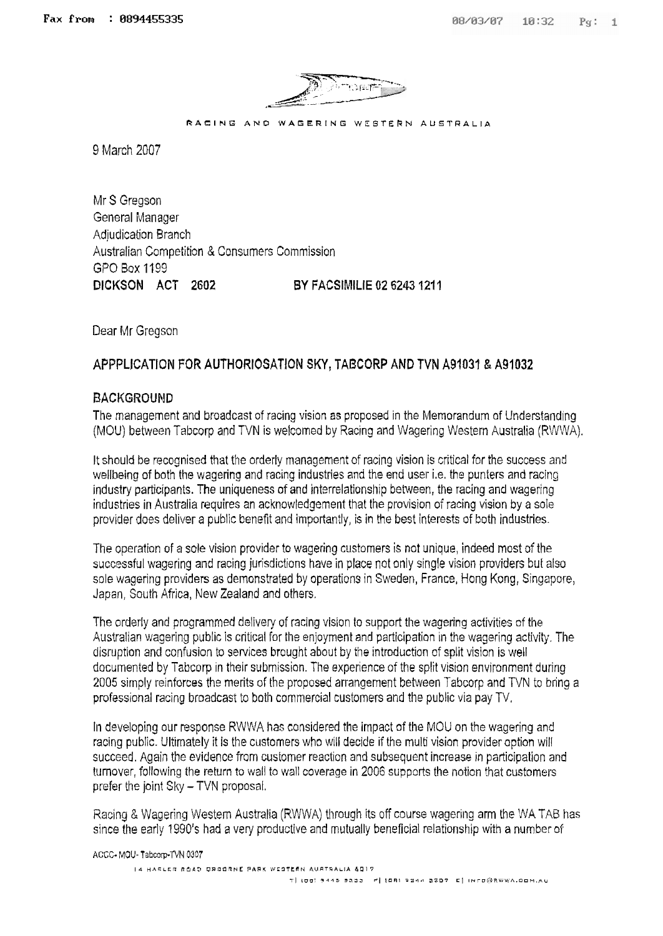

**RACING AND WAGERING** WESTERN **AUGTRALIA** 

9 March 2007

Mr S Gregson General Manager Adjudication Branch Australian Competition & Consumers Commission **GPO Box 1199 DICKSON** ACT **2602** BY FACSlWllLlE **02** 6243 121 **1** 

Dear Mr Gregson

#### **APPPLlCATlOM FOR** AUTHORIOSATION **SKY,** TABCORP AND **TVN A91031** & **A91032**

#### BACKGROUND

The management and broadcast of racing vision as proposed in the Memorandum of Understanding (MOU) between Tabcorp and TVN is welcomed by Racing and Wagering Western Australia (RWWA).

It should be recognised that the orderly management of racing vision is critical for the success and wellbeing of both the wagering and racing industries and the end user i.e. the punters and racing industry parficipants. The uniqueness of and interrelationship between, the racing and wagering industries in Australia requires an acknowledgement that the provision of racing vision by a sole provider does deliver a public benefit and importantly, is in the best interests of both industries.

The operation of a sole vision provider to wagering customers is not unique, indeed most of the successful wagering and racing jurisdictions have in place not only single vision providers but also sole wagering providers as demonstrated by operations in Sweden, France, Hong Kong, Singapore, Japan, South Africa, New Zealand and others.

The orderly and programmed delivery of racing vision to support the wagering activities of the Australian wagering public is critical for the enjoyment and participation in the wagering activity. The disruption and confusion to services brought about by the introduction of split vision is well documented by Tabcorp in their submission. The experience of the split vision environment during 2005 simply reinforces the merits of the proposed arrangement between Tabcorp and TVN to bring a professional racing broadcast to both commercial customers and the public via pay TV,

In developing our response RWWA has considered the impact of the MOU on the wagering and racing public. Ultimately it is the customers who will decide if the multi vision provider option will succeed. Again the evidence from customer reaction and subsequent increase in participation and turnover, following the return to wall to wall coverage in 2006 supports the notion that customers prefer the joint Sky - TVN proposal.

Racing & Wagering Western Australia (RWWA) through its off course wagering arm the **\NA** TAB has since the early 1990's had a very productive and mutually beneficial relationship with a number of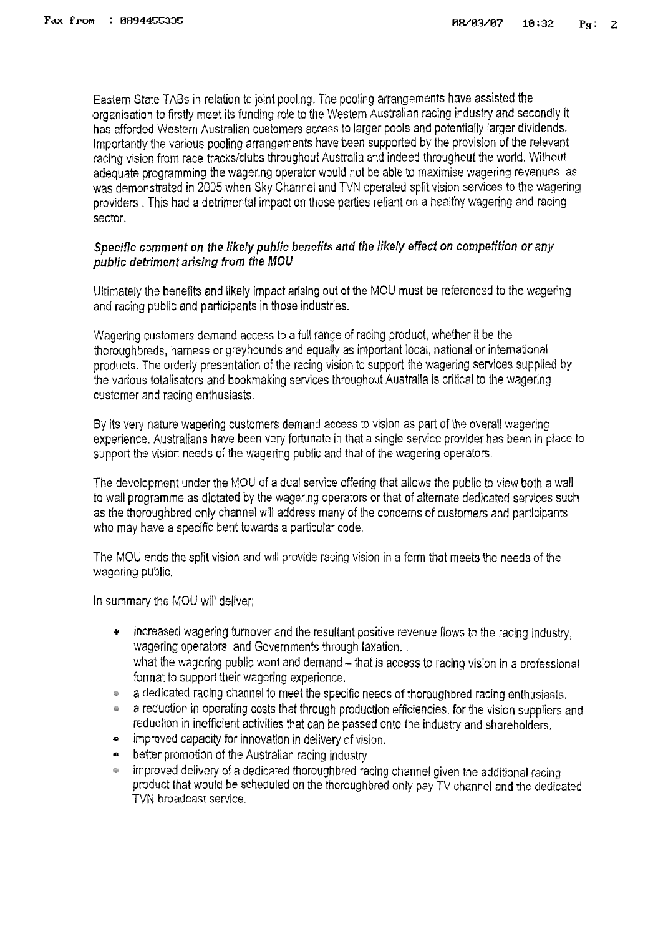Eastern State TABS in relation to joint pooling. The pooling arrangements have assisted the organisation to firstly meet its funding role to the Western Australian racing industry and secondly it has afforded Western Australian customers access to larger pools and potentially larger dividends. Importantly the various pooling arrangements have been supported by the provision of the relevant racing vision from race trackslclubs throughout Australia and indeed throughout the world. Without adequate programming the wagering operator would not be able to maximise wagering revenues, as was demonstrated in 2005 when Sky Channel and TVN operated split vision services to the wagering providers . This had a detrimental impact on those parties reliant on a healthy wagering and racing sector.

#### **Specifjc** comment **on** *the* likely **public** *benefits and* **the** lik~ly **effect on** competition or any public *detriment* **arising** from the *MOW*

Ultimately the benefits and likely impact arising out of the MOU must be referenced to the wagering and racing public and participants in those industries.

Wagering customers demand access to a full range of racing product, whether it be the thoroughbreds, harness or greyhounds and equally as important local, national or international products. The orderly presentation of the racing vision to support the wagering services supplied by the various totalisators and bookmaking services throughout Australia is critical to the wagering customer and racing enthusiasts.

By its very nature wagering customers demand access to vision as part of the overall wagering experience. Australians have been very fortunate in that a single service provider has been in place to support the vision needs of the wagering public and that of the wagering operators.

The development under the MOU of a dual service offering that allows the public to view both a wall to wall programme as dictated by the wagering operators or that of alternate dedicated services such as the thoroughbred only channel will address many of the concerns of customers and participants who may have a specific bent towards a particular code.

The MOU ends the split vision and will provide racing vision in a form that meets the needs of the wagering public.

In summary the MOU will deliver:

- **e** increased wagering turnover and the resultant positive revenue flows to the racing industry, wagering operators and Governments through taxation. . what the wagering public want and demand – that is access to racing vision in a professional format to support their wagering experience.
- a dedicated racing channel to meet the specific needs of thoroughbred racing enthusiasts.
- a reduction in operating costs that through production efficiencies, for the vision suppliers and reduction in inefficient activities that can be passed onto the industry and shareholders.
- **e** improved capacity for innovation in delivery of vision,
- **0** better promotion of the Australian racing industw.
- improved delivery of a dedicated thoroughbred racing channel given the additional racing product that would be scheduled on the thoroughbred only pay TV channel and the dedicated TVN broadcast service.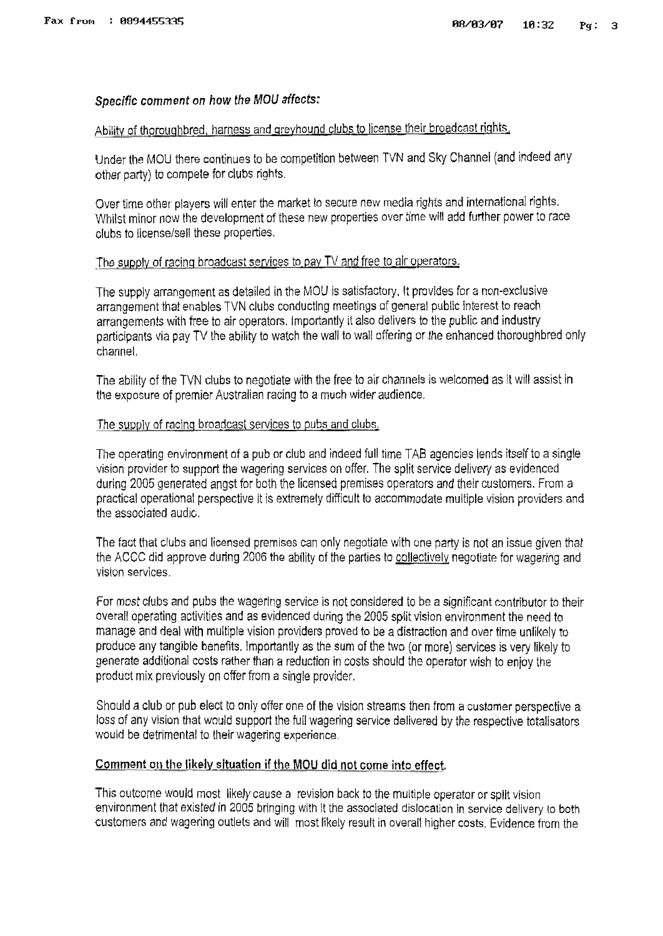## Specific comment **on** how **the MOU** affects:

### Ability of thoroughbred, harness and greyhound clubs to license their broadcast rights.

Under the MOU there continues to be competition between TVN and Sky Channel (and indeed any other party) to compete for clubs rights.

Over time other players will enter the market to secure new media rights and international rights. Whilst minor now the development of these new properties over time will add further power to race clubs to licenselsell these properties.

## The supply of racing broadcast services to pay TV and free to air operators.

The suppiy arrangement as detailed in the MOU is satisfactory, It provides for a non-exclusive arrangement that enables TVN clubs conducting meetings of general pablic interest to reach arrangements with free to air operators, Importantly it also delivers to the public and industry participants via pay TV the ability to watch the wall to wall offering or the enhanced thoroughbred only channel,

The ability of the TVN clubs to negotiate with the free to air channels is welcomed as it will assist in the exposure of premier Australian racing to a much wider audience.

## The supply of racinq broadcast services to pubs and clubs.

The operating environment of a pub or club and indeed full time TAB agencies lends itself to a single vision provider to support the wagering services on offer. The split service delivery as evidenced during 2005 generated angst for both the licensed premises operators and their customers. From a practical operational perspective it is extremely difficult to accommodate multiple vision providers and the associated audic.

The fact that clubs and licensed premises can only negotiate with one party is not an issue given that the ACCC did approve during 2006 the ability of the parties to collectively negotiate for wagering and vision services.

For most clubs and pubs the wagering service is not considered to be a significant contributor to their overall operating activities and as evidenced during the 2005 split vision environment the need to manage and deal with multiple vision providers proved to be a distraction and over time unlikely to produce any tangible benefits, Importantly as the sum of the two (or more) services is very likely to generate additional costs rather than a reduction in costs should the operator wish to enjoy the product mix previously on offer from a single provider.

Should a club or pub elect to only offer one of the vision streams then from a customer perspective a loss of any vision that would support the full wagering service delivered by the respective totalisators would be detrimental to their wagering experience.

# **Comment: on the likely situation** if the MOU did not **come** into effect.

This outcome would most likely cause a revision back to the multiple operator or split vision environment that existed in 2005 bringing with it the associated dislocation in service delivery to both customers and wagering outlets and will most likely result in overall higher costs. Evidence from the